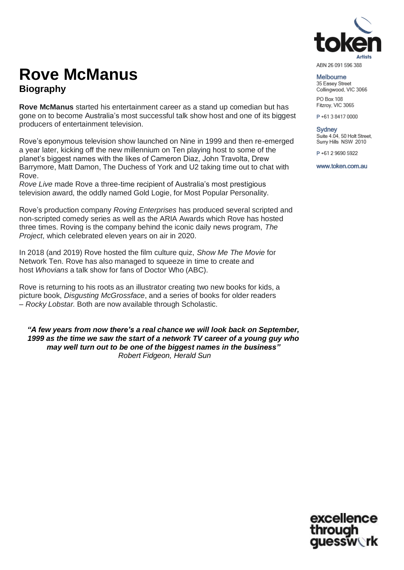

ABN 26 091 596 388

## **Rove McManus Biography**

**Rove McManus** started his entertainment career as a stand up comedian but has gone on to become Australia's most successful talk show host and one of its biggest producers of entertainment television.

Rove's eponymous television show launched on Nine in 1999 and then re-emerged a year later, kicking off the new millennium on Ten playing host to some of the planet's biggest names with the likes of Cameron Diaz, John Travolta, Drew Barrymore, Matt Damon, The Duchess of York and U2 taking time out to chat with Rove.

*Rove Live* made Rove a three-time recipient of Australia's most prestigious television award, the oddly named Gold Logie, for Most Popular Personality.

Rove's production company *Roving Enterprises* has produced several scripted and non-scripted comedy series as well as the ARIA Awards which Rove has hosted three times. Roving is the company behind the iconic daily news program, *The Project*, which celebrated eleven years on air in 2020.

In 2018 (and 2019) Rove hosted the film culture quiz, *Show Me The Movie* for Network Ten. Rove has also managed to squeeze in time to create and host *Whovians* a talk show for fans of Doctor Who (ABC).

Rove is returning to his roots as an illustrator creating two new books for kids, a picture book, *Disgusting McGrossface*, and a series of books for older readers – *Rocky Lobstar.* Both are now available through Scholastic.

*"A few years from now there's a real chance we will look back on September, 1999 as the time we saw the start of a network TV career of a young guy who may well turn out to be one of the biggest names in the business" Robert Fidgeon, Herald Sun*

Melbourne 35 Easey Street Collingwood, VIC 3066 PO Box 108

Fitzroy, VIC 3065

P+61384170000

Sydney Suite 4.04, 50 Holt Street, Surry Hills NSW 2010

P+61 2 9690 5922

www.token.com.au

excellence through guessw∖rk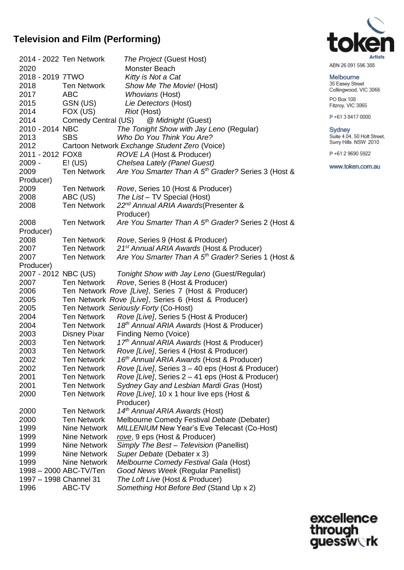## **Television and Film (Performing)**

|                        | 2014 - 2022 Ten Network | The Project (Guest Host)                                        |
|------------------------|-------------------------|-----------------------------------------------------------------|
| 2020                   |                         | Monster Beach                                                   |
| 2018 - 2019 7TWO       |                         | Kitty is Not a Cat                                              |
| 2018                   | <b>Ten Network</b>      | Show Me The Movie! (Host)                                       |
| 2017                   | <b>ABC</b>              | <b>Whovians (Host)</b>                                          |
| 2015                   | GSN (US)                | Lie Detectors (Host)                                            |
| 2014                   | FOX (US)                | Riot (Host)                                                     |
| 2014                   | Comedy Central (US)     | @ Midnight (Guest)                                              |
| 2010 - 2014 NBC        |                         | The Tonight Show with Jay Leno (Regular)                        |
| 2013                   | <b>SBS</b>              | Who Do You Think You Are?                                       |
| 2012                   |                         | Cartoon Network Exchange Student Zero (Voice)                   |
| 2011 - 2012 FOX8       |                         | <b>ROVE LA (Host &amp; Producer)</b>                            |
|                        |                         | 2009 - E! (US) Chelsea Lately (Panel Guest)                     |
| 2009                   | <b>Ten Network</b>      | Are You Smarter Than A 5 <sup>th</sup> Grader? Series 3 (Host & |
| Producer)              |                         |                                                                 |
| 2009                   | Ten Network             | Rove, Series 10 (Host & Producer)                               |
| 2008                   | ABC (US)                | The List - TV Special (Host)                                    |
| 2008                   | <b>Ten Network</b>      | 22 <sup>nd</sup> Annual ARIA Awards (Presenter &                |
|                        |                         | Producer)                                                       |
| 2008                   | <b>Ten Network</b>      | Are You Smarter Than A 5 <sup>th</sup> Grader? Series 2 (Host & |
| Producer)              |                         |                                                                 |
| 2008                   | Ten Network             | Rove, Series 9 (Host & Producer)                                |
| 2007                   | <b>Ten Network</b>      | 21 <sup>st</sup> Annual ARIA Awards (Host & Producer)           |
| 2007                   | <b>Ten Network</b>      | Are You Smarter Than A 5 <sup>th</sup> Grader? Series 1 (Host & |
| Producer)              |                         |                                                                 |
| 2007 - 2012 NBC (US)   |                         | Tonight Show with Jay Leno (Guest/Regular)                      |
| 2007                   | Ten Network             | Rove, Series 8 (Host & Producer)                                |
| 2006                   |                         | Ten Network Rove [Live], Series 7 (Host & Producer)             |
| 2005                   |                         | Ten Network Rove [Live], Series 6 (Host & Producer)             |
| 2005                   |                         | Ten Network Seriously Forty (Co-Host)                           |
| 2004                   | Ten Network             | Rove [Live], Series 5 (Host & Producer)                         |
| 2004                   | Ten Network             | 18th Annual ARIA Awards (Host & Producer)                       |
| 2003                   | Disney Pixar            | Finding Nemo (Voice)                                            |
| 2003                   | <b>Ten Network</b>      | 17th Annual ARIA Awards (Host & Producer)                       |
| 2003                   | <b>Ten Network</b>      | Rove [Live], Series 4 (Host & Producer)                         |
| 2002                   | Ten Network             | 16 <sup>th</sup> Annual ARIA Awards (Host & Producer)           |
| 2002                   | <b>Ten Network</b>      | Rove [Live], Series 3 - 40 eps (Host & Producer)                |
| 2001                   | <b>Ten Network</b>      | Rove [Live], Series 2 - 41 eps (Host & Producer)                |
| 2001                   | <b>Ten Network</b>      | Sydney Gay and Lesbian Mardi Gras (Host)                        |
| 2000                   | <b>Ten Network</b>      | Rove [Live], 10 x 1 hour live eps (Host &                       |
|                        |                         | Producer)                                                       |
| 2000                   | <b>Ten Network</b>      | 14 <sup>th</sup> Annual ARIA Awards (Host)                      |
| 2000                   | <b>Ten Network</b>      | Melbourne Comedy Festival Debate (Debater)                      |
| 1999                   | <b>Nine Network</b>     | <b>MILLENIUM New Year's Eve Telecast (Co-Host)</b>              |
| 1999                   | <b>Nine Network</b>     | rove, 9 eps (Host & Producer)                                   |
| 1999                   | <b>Nine Network</b>     | Simply The Best - Television (Panellist)                        |
| 1999                   | <b>Nine Network</b>     | Super Debate (Debater x 3)                                      |
| 1999                   | <b>Nine Network</b>     | Melbourne Comedy Festival Gala (Host)                           |
|                        | 1998 - 2000 ABC-TV/Ten  | Good News Week (Regular Panellist)                              |
| 1997 - 1998 Channel 31 |                         | The Loft Live (Host & Producer)                                 |
| 1996                   | ABC-TV                  | Something Hot Before Bed (Stand Up x 2)                         |
|                        |                         |                                                                 |



ABN 26 091 596 388

#### Melbourne

35 Easey Street Collingwood, VIC 3066 PO Box 108

Fitzroy, VIC 3065

P+61384170000

Sydney<br>Suite 4.04, 50 Holt Street,<br>Surry Hills NSW 2010

P+61 2 9690 5922

www.token.com.au

excellence<br>through<br>guessw**ork**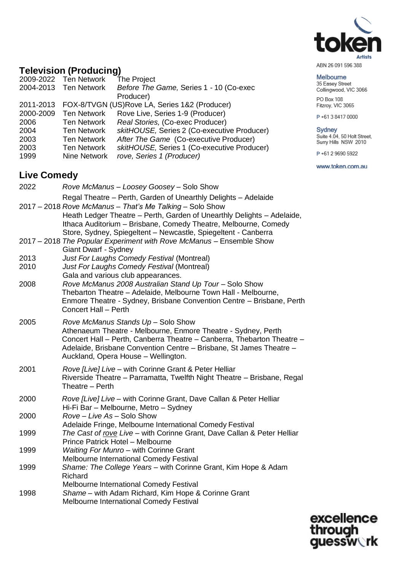

ABN 26 091 596 388

#### Melbourne

35 Easey Street Collingwood, VIC 3066

PO Box 108 Fitzroy, VIC 3065

P+61384170000

Sydney<br>Suite 4.04, 50 Holt Street,<br>Surry Hills NSW 2010

P+61 2 9690 5922

www.token.com.au

## **Television (Producing)**

|           | 2009-2022 Ten Network | The Project                                   |
|-----------|-----------------------|-----------------------------------------------|
|           | 2004-2013 Ten Network | Before The Game, Series 1 - 10 (Co-exec       |
|           |                       | Producer)                                     |
| 2011-2013 |                       | FOX-8/TVGN (US)Rove LA, Series 1&2 (Producer) |
| 2000-2009 | <b>Ten Network</b>    | Rove Live, Series 1-9 (Producer)              |
| 2006      | Ten Network           | Real Stories, (Co-exec Producer)              |
| 2004      | <b>Ten Network</b>    | skitHOUSE, Series 2 (Co-executive Producer)   |
| 2003      | <b>Ten Network</b>    | After The Game (Co-executive Producer)        |
| 2003      | <b>Ten Network</b>    | skitHOUSE, Series 1 (Co-executive Producer)   |
| 1999      | Nine Network          | rove, Series 1 (Producer)                     |
|           |                       |                                               |

## **Live Comedy**

| 2022         | Rove McManus - Loosey Goosey - Solo Show                                                                                                                                                                                                                                                                                                  |
|--------------|-------------------------------------------------------------------------------------------------------------------------------------------------------------------------------------------------------------------------------------------------------------------------------------------------------------------------------------------|
|              | Regal Theatre - Perth, Garden of Unearthly Delights - Adelaide<br>2017 - 2018 Rove McManus - That's Me Talking - Solo Show<br>Heath Ledger Theatre – Perth, Garden of Unearthly Delights – Adelaide,<br>Ithaca Auditorium - Brisbane, Comedy Theatre, Melbourne, Comedy<br>Store, Sydney, Spiegeltent - Newcastle, Spiegeltent - Canberra |
|              | 2017 – 2018 The Popular Experiment with Rove McManus – Ensemble Show<br>Giant Dwarf - Sydney                                                                                                                                                                                                                                              |
| 2013<br>2010 | Just For Laughs Comedy Festival (Montreal)<br>Just For Laughs Comedy Festival (Montreal)<br>Gala and various club appearances.                                                                                                                                                                                                            |
| 2008         | Rove McManus 2008 Australian Stand Up Tour - Solo Show<br>Thebarton Theatre - Adelaide, Melbourne Town Hall - Melbourne,<br>Enmore Theatre - Sydney, Brisbane Convention Centre - Brisbane, Perth<br>Concert Hall - Perth                                                                                                                 |
| 2005         | Rove McManus Stands Up - Solo Show<br>Athenaeum Theatre - Melbourne, Enmore Theatre - Sydney, Perth<br>Concert Hall - Perth, Canberra Theatre - Canberra, Thebarton Theatre -<br>Adelaide, Brisbane Convention Centre - Brisbane, St James Theatre -<br>Auckland, Opera House - Wellington.                                               |
| 2001         | Rove [Live] Live - with Corinne Grant & Peter Helliar<br>Riverside Theatre - Parramatta, Twelfth Night Theatre - Brisbane, Regal<br>Theatre - Perth                                                                                                                                                                                       |
| 2000         | Rove [Live] Live - with Corinne Grant, Dave Callan & Peter Helliar<br>Hi-Fi Bar - Melbourne, Metro - Sydney                                                                                                                                                                                                                               |
| 2000         | Rove - Live As - Solo Show<br>Adelaide Fringe, Melbourne International Comedy Festival                                                                                                                                                                                                                                                    |
| 1999         | The Cast of rove Live - with Corinne Grant, Dave Callan & Peter Helliar<br>Prince Patrick Hotel - Melbourne                                                                                                                                                                                                                               |
| 1999         | Waiting For Munro - with Corinne Grant<br>Melbourne International Comedy Festival                                                                                                                                                                                                                                                         |
| 1999         | Shame: The College Years - with Corinne Grant, Kim Hope & Adam<br>Richard                                                                                                                                                                                                                                                                 |
| 1998         | Melbourne International Comedy Festival<br>Shame - with Adam Richard, Kim Hope & Corinne Grant<br>Melbourne International Comedy Festival                                                                                                                                                                                                 |

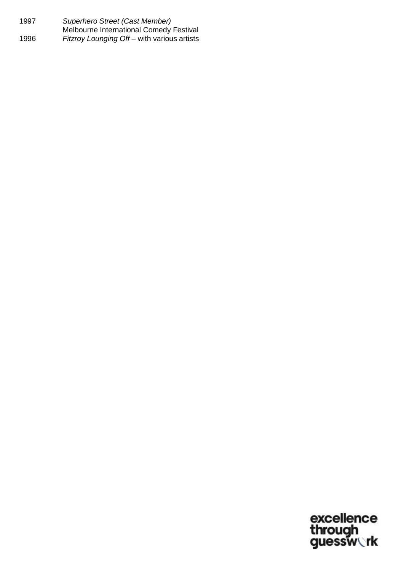| 1997 | Superhero Street (Cast Member)                 |
|------|------------------------------------------------|
|      | <b>Melbourne International Comedy Festival</b> |
| 1996 | Fitzroy Lounging Off – with various artists    |

excellence<br>through<br>guessw**ork**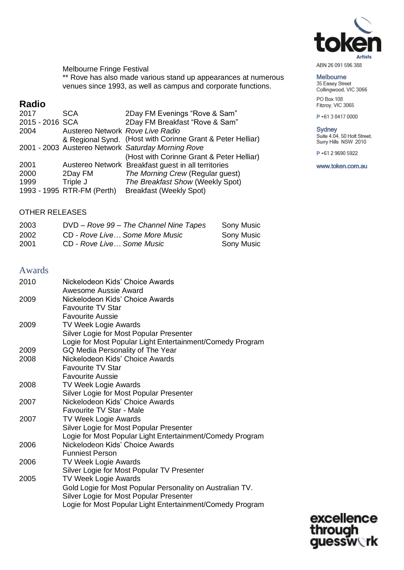

ABN 26 091 596 388

#### Melbourne

35 Easey Street Collingwood, VIC 3066 PO Box 108

Fitzroy, VIC 3065

P+61384170000

# Sydney<br>Suite 4.04, 50 Holt Street,<br>Surry Hills NSW 2010

P+61 2 9690 5922

www.token.com.au

excellence<br>through<br>guessw**ork** 

Melbourne Fringe Festival \*\* Rove has also made various stand up appearances at numerous venues since 1993, as well as campus and corporate functions.

## **Radio**

| 2017            | <b>SCA</b>                       | 2Day FM Evenings "Rove & Sam"                              |
|-----------------|----------------------------------|------------------------------------------------------------|
| 2015 - 2016 SCA |                                  | 2Day FM Breakfast "Rove & Sam"                             |
| 2004            | Austereo Network Rove Live Radio |                                                            |
|                 |                                  | & Regional Synd. (Host with Corinne Grant & Peter Helliar) |
|                 |                                  | 2001 - 2003 Austereo Network Saturday Morning Rove         |
|                 |                                  | (Host with Corinne Grant & Peter Helliar)                  |
| 2001            |                                  | Austereo Network Breakfast guest in all territories        |
| 2000            | 2Day FM                          | The Morning Crew (Regular guest)                           |
| 1999            | Triple J                         | The Breakfast Show (Weekly Spot)                           |
|                 | 1993 - 1995 RTR-FM (Perth)       | <b>Breakfast (Weekly Spot)</b>                             |

### OTHER RELEASES

| 2003 | DVD - Rove 99 - The Channel Nine Tapes | Sony Music        |
|------|----------------------------------------|-------------------|
| 2002 | CD - Rove Live Some More Music         | <b>Sony Music</b> |
| 2001 | CD - Rove Live Some Music              | Sony Music        |

#### Awards

| 2010         | Nickelodeon Kids' Choice Awards<br>Awesome Aussie Award                                       |
|--------------|-----------------------------------------------------------------------------------------------|
| 2009         | Nickelodeon Kids' Choice Awards                                                               |
|              | <b>Favourite TV Star</b>                                                                      |
|              | <b>Favourite Aussie</b>                                                                       |
| 2009         |                                                                                               |
|              | <b>TV Week Logie Awards</b>                                                                   |
|              | Silver Logie for Most Popular Presenter                                                       |
|              | Logie for Most Popular Light Entertainment/Comedy Program<br>GQ Media Personality of The Year |
| 2009<br>2008 | Nickelodeon Kids' Choice Awards                                                               |
|              | <b>Favourite TV Star</b>                                                                      |
|              |                                                                                               |
|              | <b>Favourite Aussie</b>                                                                       |
| 2008         | <b>TV Week Logie Awards</b>                                                                   |
|              | Silver Logie for Most Popular Presenter                                                       |
| 2007         | Nickelodeon Kids' Choice Awards                                                               |
|              | Favourite TV Star - Male                                                                      |
| 2007         | <b>TV Week Logie Awards</b>                                                                   |
|              | Silver Logie for Most Popular Presenter                                                       |
|              | Logie for Most Popular Light Entertainment/Comedy Program                                     |
| 2006         | Nickelodeon Kids' Choice Awards                                                               |
|              | <b>Funniest Person</b>                                                                        |
| 2006         | <b>TV Week Logie Awards</b>                                                                   |
|              | Silver Logie for Most Popular TV Presenter                                                    |
| 2005         | <b>TV Week Logie Awards</b>                                                                   |
|              | Gold Logie for Most Popular Personality on Australian TV.                                     |
|              | Silver Logie for Most Popular Presenter                                                       |
|              | Logie for Most Popular Light Entertainment/Comedy Program                                     |